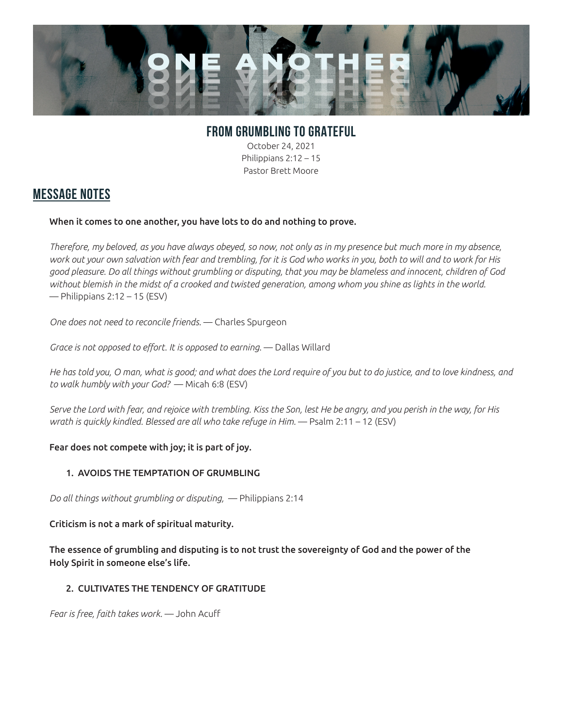

# **FROM GRUMBLING TO GRATEFUL**

October 24, 2021 Philippians 2:12 – 15 Pastor Brett Moore

### **MESSAGE NOTES**

#### When it comes to one another, you have lots to do and nothing to prove.

*Therefore, my beloved, as you have always obeyed, so now, not only as in my presence but much more in my absence, work out your own salvation with fear and trembling, for it is God who works in you, both to will and to work for His good pleasure. Do all things without grumbling or disputing, that you may be blameless and innocent, children of God without blemish in the midst of a crooked and twisted generation, among whom you shine as lights in the world.* — Philippians 2:12 – 15 (ESV)

*One does not need to reconcile friends.* — Charles Spurgeon

Grace is not opposed to effort. It is opposed to earning. - Dallas Willard

*He has told you, O man, what is good; and what does the Lord require of you but to do justice, and to love kindness, and to walk humbly with your God?* — Micah 6:8 (ESV)

*Serve the Lord with fear, and rejoice with trembling. Kiss the Son, lest He be angry, and you perish in the way, for His wrath is quickly kindled. Blessed are all who take refuge in Him.* — Psalm 2:11 – 12 (ESV)

### Fear does not compete with joy; it is part of joy.

### 1. AVOIDS THE TEMPTATION OF GRUMBLING

*Do all things without grumbling or disputing,* — Philippians 2:14

Criticism is not a mark of spiritual maturity.

The essence of grumbling and disputing is to not trust the sovereignty of God and the power of the Holy Spirit in someone else's life.

### 2. CULTIVATES THE TENDENCY OF GRATITUDE

*Fear is free, faith takes work.* — John Acuff